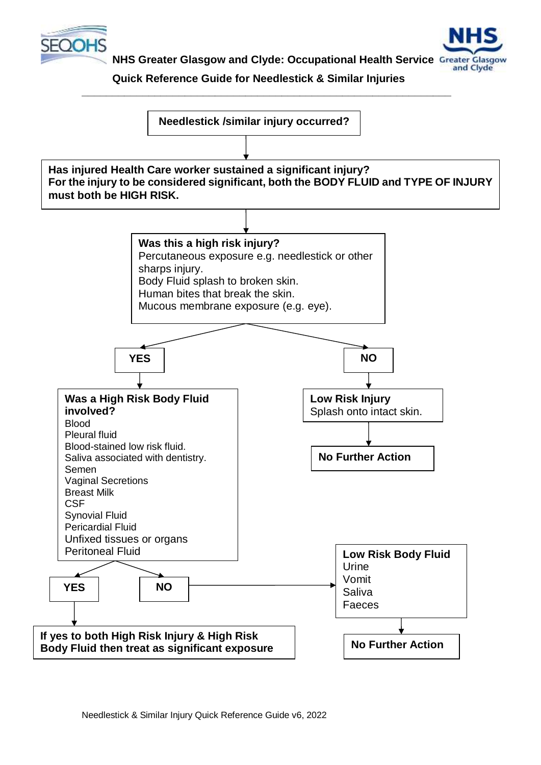

 **NHS Greater Glasgow and Clyde: Occupational Health Service**



 **Quick Reference Guide for Needlestick & Similar Injuries**